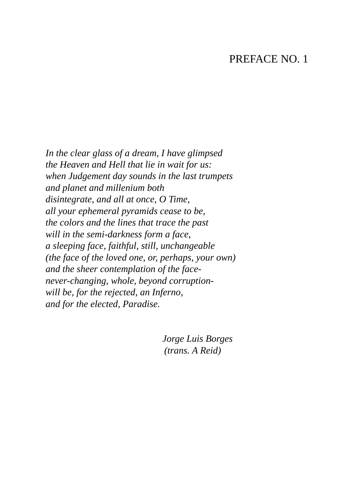## PREFACE NO. 1

*In the clear glass of a dream, I have glimpsed the Heaven and Hell that lie in wait for us: when Judgement day sounds in the last trumpets and planet and millenium both disintegrate, and all at once, O Time, all your ephemeral pyramids cease to be, the colors and the lines that trace the past will in the semi-darkness form a face, a sleeping face, faithful, still, unchangeable (the face of the loved one, or, perhaps, your own) and the sheer contemplation of the facenever-changing, whole, beyond corruptionwill be, for the rejected, an Inferno, and for the elected, Paradise.*

> *Jorge Luis Borges (trans. A Reid)*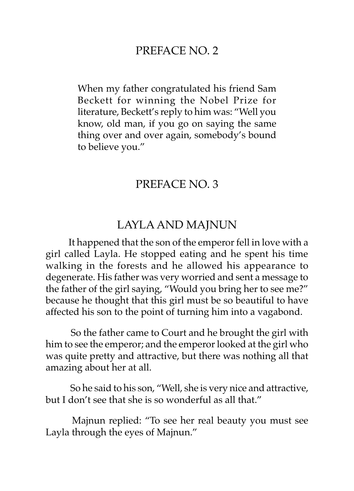## PREFACE NO. 2

When my father congratulated his friend Sam Beckett for winning the Nobel Prize for literature, Beckett's reply to him was: "Well you know, old man, if you go on saying the same thing over and over again, somebody's bound to believe you."

### PREFACE NO. 3

#### LAYLA AND MAJNUN

It happened that the son of the emperor fell in love with a girl called Layla. He stopped eating and he spent his time walking in the forests and he allowed his appearance to degenerate. His father was very worried and sent a message to the father of the girl saying, "Would you bring her to see me?" because he thought that this girl must be so beautiful to have affected his son to the point of turning him into a vagabond.

 So the father came to Court and he brought the girl with him to see the emperor; and the emperor looked at the girl who was quite pretty and attractive, but there was nothing all that amazing about her at all.

 So he said to his son, "Well, she is very nice and attractive, but I don't see that she is so wonderful as all that."

 Majnun replied: "To see her real beauty you must see Layla through the eyes of Majnun."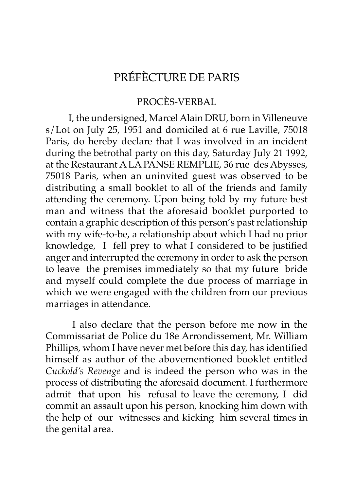# PRÉFÈCTURE DE PARIS

#### PROCÈS-VERBAL

I, the undersigned, Marcel Alain DRU, born in Villeneuve s/Lot on July 25, 1951 and domiciled at 6 rue Laville, 75018 Paris, do hereby declare that I was involved in an incident during the betrothal party on this day, Saturday July 21 1992, at the Restaurant A LA PANSE REMPLIE, 36 rue des Abysses, 75018 Paris, when an uninvited guest was observed to be distributing a small booklet to all of the friends and family attending the ceremony. Upon being told by my future best man and witness that the aforesaid booklet purported to contain a graphic description of this person's past relationship with my wife-to-be, a relationship about which I had no prior knowledge, I fell prey to what I considered to be justified anger and interrupted the ceremony in order to ask the person to leave the premises immediately so that my future bride and myself could complete the due process of marriage in which we were engaged with the children from our previous marriages in attendance.

 I also declare that the person before me now in the Commissariat de Police du 18e Arrondissement, Mr. William Phillips, whom I have never met before this day, has identified himself as author of the abovementioned booklet entitled *Cuckold's Revenge* and is indeed the person who was in the process of distributing the aforesaid document. I furthermore admit that upon his refusal to leave the ceremony, I did commit an assault upon his person, knocking him down with the help of our witnesses and kicking him several times in the genital area.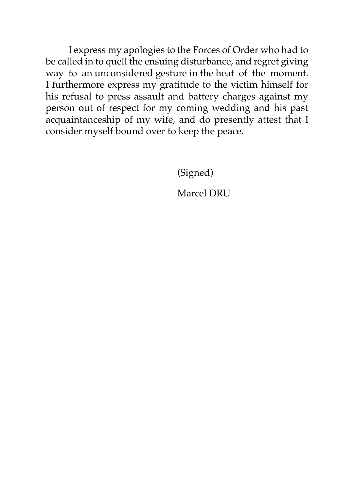I express my apologies to the Forces of Order who had to be called in to quell the ensuing disturbance, and regret giving way to an unconsidered gesture in the heat of the moment. I furthermore express my gratitude to the victim himself for his refusal to press assault and battery charges against my person out of respect for my coming wedding and his past acquaintanceship of my wife, and do presently attest that I consider myself bound over to keep the peace.

(Signed)

Marcel DRU